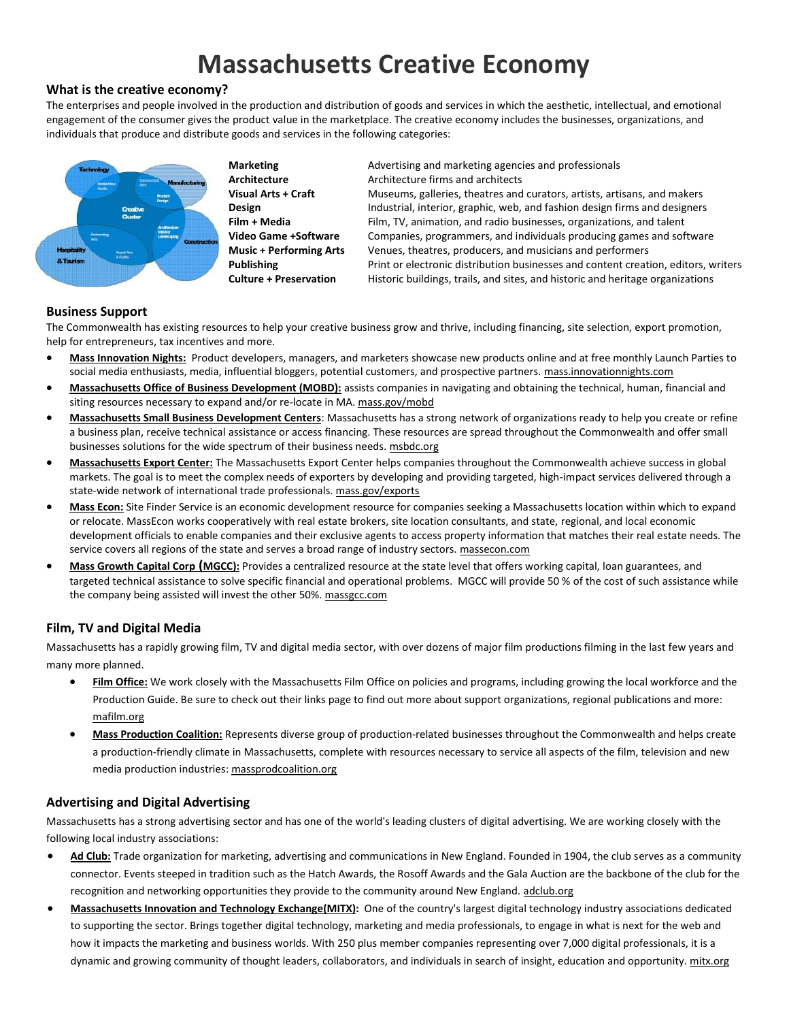# **Massachusetts Creative Economy**

## **What is the creative economy?**

The enterprises and people involved in the production and distribution of goods and services in which the aesthetic, intellectual, and emotional engagement of the consumer gives the product value in the marketplace. The creative economy includes the businesses, organizations, and individuals that produce and distribute goods and services in the following categories:



**Marketing Advertising and marketing agencies and professionals Architecture** Architecture firms and architects **Visual Arts + Craft** Museums, galleries, theatres and curators, artists, artisans, and makers **Design Theory industrial, interior, graphic, web, and fashion design firms and designers Film + Media** Film, TV, animation, and radio businesses, organizations, and talent **Video Game +Software** Companies, programmers, and individuals producing games and software **Music + Performing Arts** Venues, theatres, producers, and musicians and performers **Publishing** Print or electronic distribution businesses and content creation, editors, writers **Culture + Preservation** Historic buildings, trails, and sites, and historic and heritage organizations

## **Business Support**

The Commonwealth has existing resources to help your creative business grow and thrive, including financing, site selection, export promotion, help for entrepreneurs, tax incentives and more.

- **Mass Innovation Nights:** Product developers, managers, and marketers showcase new products online and at free monthly Launch Parties to social media enthusiasts, media, influential bloggers, potential customers, and prospective partners. mass.innovationnights.com
- **Massachusetts Office of Business Development (MOBD):** assists companies in navigating and obtaining the technical, human, financial and siting resources necessary to expand and/or re-locate in MA. mass.gov/mobd
- **Massachusetts Small Business Development Centers**: Massachusetts has a strong network of organizations ready to help you create or refine a business plan, receive technical assistance or access financing. These resources are spread throughout the Commonwealth and offer small businesses solutions for the wide spectrum of their business needs. msbdc.org
- **Massachusetts Export Center:** The Massachusetts Export Center helps companies throughout the Commonwealth achieve success in global markets. The goal is to meet the complex needs of exporters by developing and providing targeted, high-impact services delivered through a state-wide network of international trade professionals. mass.gov/exports
- **Mass Econ:** Site Finder Service is an economic development resource for companies seeking a Massachusetts location within which to expand or relocate. MassEcon works cooperatively with real estate brokers, site location consultants, and state, regional, and local economic development officials to enable companies and their exclusive agents to access property information that matches their real estate needs. The service covers all regions of the state and serves a broad range of industry sectors. massecon.com
- **Mass Growth Capital Corp (MGCC):** Provides a centralized resource at the state level that offers working capital, loan guarantees, and targeted technical assistance to solve specific financial and operational problems. MGCC will provide 50 % of the cost of such assistance while the company being assisted will invest the other 50%[. massgcc.com](http://www.massgcc.com/)

## **Film, TV and Digital Media**

Massachusetts has a rapidly growing film, TV and digital media sector, with over dozens of major film productions filming in the last few years and many more planned.

- **Film Office:** We work closely with the Massachusetts Film Office on policies and programs, including growing the local workforce and the Production Guide. Be sure to check out their links page to find out more about support organizations, regional publications and more: mafilm.org
- **Mass Production Coalition:** Represents diverse group of production-related businesses throughout the Commonwealth and helps create a production-friendly climate in Massachusetts, complete with resources necessary to service all aspects of the film, television and new media production industries: massprodcoalition.org

## **Advertising and Digital Advertising**

Massachusetts has a strong advertising sector and has one of the world's leading clusters of digital advertising. We are working closely with the following local industry associations:

- **Ad Club:** Trade organization for marketing, advertising and communications in New England. Founded in 1904, the club serves as a community connector. Events steeped in tradition such as the Hatch Awards, the Rosoff Awards and the Gala Auction are the backbone of the club for the recognition and networking opportunities they provide to the community around New England. adclub.org
- **[Massachusetts](http://www.mitx.org/) Innovation and Technology Exchange(MITX):** One of the country's largest digital technology industry associations dedicated to supporting the sector. Brings together digital technology, marketing and media professionals, to engage in what is next for the web and how it impacts the marketing and business worlds. With 250 plus member companies representing over 7,000 digital professionals, it is a dynamic and growing community of thought leaders, collaborators, and individuals in search of insight, education and opportunity. mitx.org